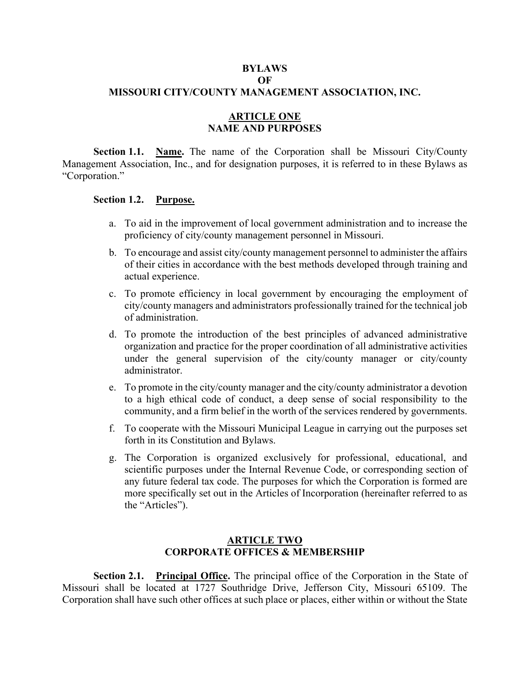### **BYLAWS**

# **OF**

# **MISSOURI CITY/COUNTY MANAGEMENT ASSOCIATION, INC.**

## **ARTICLE ONE NAME AND PURPOSES**

**Section 1.1. Name.** The name of the Corporation shall be Missouri City/County Management Association, Inc., and for designation purposes, it is referred to in these Bylaws as "Corporation."

#### **Section 1.2. Purpose.**

- a. To aid in the improvement of local government administration and to increase the proficiency of city/county management personnel in Missouri.
- b. To encourage and assist city/county management personnel to administer the affairs of their cities in accordance with the best methods developed through training and actual experience.
- c. To promote efficiency in local government by encouraging the employment of city/county managers and administrators professionally trained for the technical job of administration.
- d. To promote the introduction of the best principles of advanced administrative organization and practice for the proper coordination of all administrative activities under the general supervision of the city/county manager or city/county administrator.
- e. To promote in the city/county manager and the city/county administrator a devotion to a high ethical code of conduct, a deep sense of social responsibility to the community, and a firm belief in the worth of the services rendered by governments.
- f. To cooperate with the Missouri Municipal League in carrying out the purposes set forth in its Constitution and Bylaws.
- g. The Corporation is organized exclusively for professional, educational, and scientific purposes under the Internal Revenue Code, or corresponding section of any future federal tax code. The purposes for which the Corporation is formed are more specifically set out in the Articles of Incorporation (hereinafter referred to as the "Articles").

## **ARTICLE TWO CORPORATE OFFICES & MEMBERSHIP**

**Section 2.1. Principal Office.** The principal office of the Corporation in the State of Missouri shall be located at 1727 Southridge Drive, Jefferson City, Missouri 65109. The Corporation shall have such other offices at such place or places, either within or without the State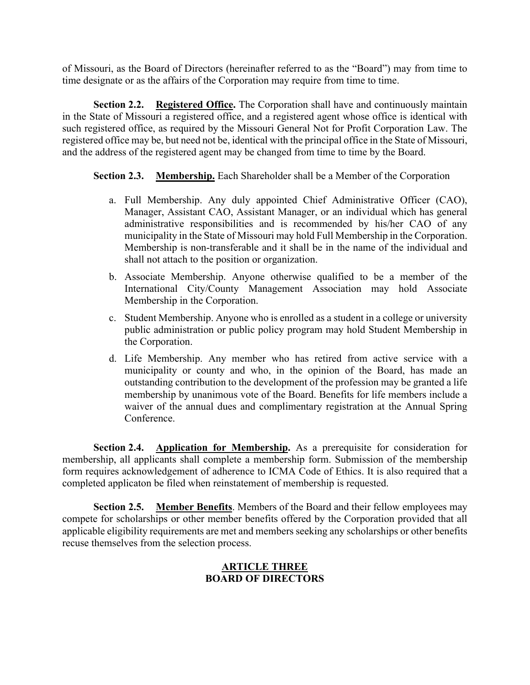of Missouri, as the Board of Directors (hereinafter referred to as the "Board") may from time to time designate or as the affairs of the Corporation may require from time to time.

**Section 2.2.** Registered Office. The Corporation shall have and continuously maintain in the State of Missouri a registered office, and a registered agent whose office is identical with such registered office, as required by the Missouri General Not for Profit Corporation Law. The registered office may be, but need not be, identical with the principal office in the State of Missouri, and the address of the registered agent may be changed from time to time by the Board.

**Section 2.3. Membership.** Each Shareholder shall be a Member of the Corporation

- a. Full Membership. Any duly appointed Chief Administrative Officer (CAO), Manager, Assistant CAO, Assistant Manager, or an individual which has general administrative responsibilities and is recommended by his/her CAO of any municipality in the State of Missouri may hold Full Membership in the Corporation. Membership is non-transferable and it shall be in the name of the individual and shall not attach to the position or organization.
- b. Associate Membership. Anyone otherwise qualified to be a member of the International City/County Management Association may hold Associate Membership in the Corporation.
- c. Student Membership. Anyone who is enrolled as a student in a college or university public administration or public policy program may hold Student Membership in the Corporation.
- d. Life Membership. Any member who has retired from active service with a municipality or county and who, in the opinion of the Board, has made an outstanding contribution to the development of the profession may be granted a life membership by unanimous vote of the Board. Benefits for life members include a waiver of the annual dues and complimentary registration at the Annual Spring Conference.

**Section 2.4. Application for Membership.** As a prerequisite for consideration for membership, all applicants shall complete a membership form. Submission of the membership form requires acknowledgement of adherence to ICMA Code of Ethics. It is also required that a completed applicaton be filed when reinstatement of membership is requested.

**Section 2.5. Member Benefits**. Members of the Board and their fellow employees may compete for scholarships or other member benefits offered by the Corporation provided that all applicable eligibility requirements are met and members seeking any scholarships or other benefits recuse themselves from the selection process.

# **ARTICLE THREE BOARD OF DIRECTORS**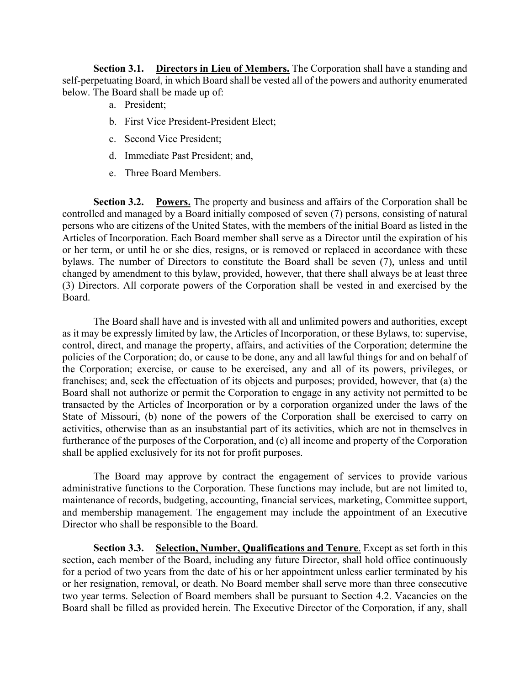**Section 3.1.** Directors in Lieu of Members. The Corporation shall have a standing and self-perpetuating Board, in which Board shall be vested all of the powers and authority enumerated below. The Board shall be made up of:

- a. President;
- b. First Vice President-President Elect;
- c. Second Vice President;
- d. Immediate Past President; and,
- e. Three Board Members.

**Section 3.2. Powers.** The property and business and affairs of the Corporation shall be controlled and managed by a Board initially composed of seven (7) persons, consisting of natural persons who are citizens of the United States, with the members of the initial Board as listed in the Articles of Incorporation. Each Board member shall serve as a Director until the expiration of his or her term, or until he or she dies, resigns, or is removed or replaced in accordance with these bylaws. The number of Directors to constitute the Board shall be seven (7), unless and until changed by amendment to this bylaw, provided, however, that there shall always be at least three (3) Directors. All corporate powers of the Corporation shall be vested in and exercised by the Board.

The Board shall have and is invested with all and unlimited powers and authorities, except as it may be expressly limited by law, the Articles of Incorporation, or these Bylaws, to: supervise, control, direct, and manage the property, affairs, and activities of the Corporation; determine the policies of the Corporation; do, or cause to be done, any and all lawful things for and on behalf of the Corporation; exercise, or cause to be exercised, any and all of its powers, privileges, or franchises; and, seek the effectuation of its objects and purposes; provided, however, that (a) the Board shall not authorize or permit the Corporation to engage in any activity not permitted to be transacted by the Articles of Incorporation or by a corporation organized under the laws of the State of Missouri, (b) none of the powers of the Corporation shall be exercised to carry on activities, otherwise than as an insubstantial part of its activities, which are not in themselves in furtherance of the purposes of the Corporation, and (c) all income and property of the Corporation shall be applied exclusively for its not for profit purposes.

The Board may approve by contract the engagement of services to provide various administrative functions to the Corporation. These functions may include, but are not limited to, maintenance of records, budgeting, accounting, financial services, marketing, Committee support, and membership management. The engagement may include the appointment of an Executive Director who shall be responsible to the Board.

**Section 3.3.** Selection, Number, Qualifications and Tenure. Except as set forth in this section, each member of the Board, including any future Director, shall hold office continuously for a period of two years from the date of his or her appointment unless earlier terminated by his or her resignation, removal, or death. No Board member shall serve more than three consecutive two year terms. Selection of Board members shall be pursuant to Section 4.2. Vacancies on the Board shall be filled as provided herein. The Executive Director of the Corporation, if any, shall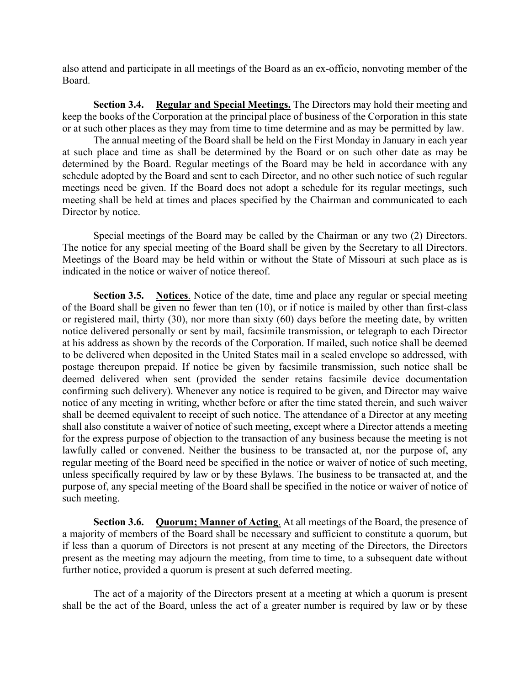also attend and participate in all meetings of the Board as an ex-officio, nonvoting member of the Board.

**Section 3.4.** Regular and Special Meetings. The Directors may hold their meeting and keep the books of the Corporation at the principal place of business of the Corporation in this state or at such other places as they may from time to time determine and as may be permitted by law.

 The annual meeting of the Board shall be held on the First Monday in January in each year at such place and time as shall be determined by the Board or on such other date as may be determined by the Board. Regular meetings of the Board may be held in accordance with any schedule adopted by the Board and sent to each Director, and no other such notice of such regular meetings need be given. If the Board does not adopt a schedule for its regular meetings, such meeting shall be held at times and places specified by the Chairman and communicated to each Director by notice.

 Special meetings of the Board may be called by the Chairman or any two (2) Directors. The notice for any special meeting of the Board shall be given by the Secretary to all Directors. Meetings of the Board may be held within or without the State of Missouri at such place as is indicated in the notice or waiver of notice thereof.

**Section 3.5. Notices**. Notice of the date, time and place any regular or special meeting of the Board shall be given no fewer than ten (10), or if notice is mailed by other than first-class or registered mail, thirty (30), nor more than sixty (60) days before the meeting date, by written notice delivered personally or sent by mail, facsimile transmission, or telegraph to each Director at his address as shown by the records of the Corporation. If mailed, such notice shall be deemed to be delivered when deposited in the United States mail in a sealed envelope so addressed, with postage thereupon prepaid. If notice be given by facsimile transmission, such notice shall be deemed delivered when sent (provided the sender retains facsimile device documentation confirming such delivery). Whenever any notice is required to be given, and Director may waive notice of any meeting in writing, whether before or after the time stated therein, and such waiver shall be deemed equivalent to receipt of such notice. The attendance of a Director at any meeting shall also constitute a waiver of notice of such meeting, except where a Director attends a meeting for the express purpose of objection to the transaction of any business because the meeting is not lawfully called or convened. Neither the business to be transacted at, nor the purpose of, any regular meeting of the Board need be specified in the notice or waiver of notice of such meeting, unless specifically required by law or by these Bylaws. The business to be transacted at, and the purpose of, any special meeting of the Board shall be specified in the notice or waiver of notice of such meeting.

**Section 3.6. Quorum; Manner of Acting**. At all meetings of the Board, the presence of a majority of members of the Board shall be necessary and sufficient to constitute a quorum, but if less than a quorum of Directors is not present at any meeting of the Directors, the Directors present as the meeting may adjourn the meeting, from time to time, to a subsequent date without further notice, provided a quorum is present at such deferred meeting.

 The act of a majority of the Directors present at a meeting at which a quorum is present shall be the act of the Board, unless the act of a greater number is required by law or by these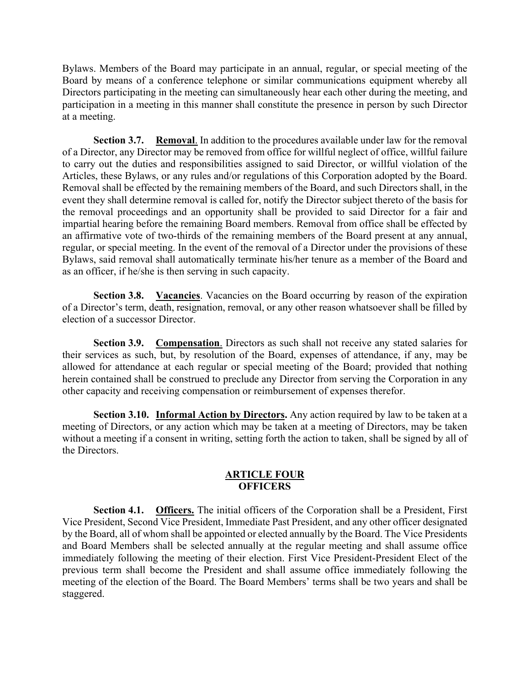Bylaws. Members of the Board may participate in an annual, regular, or special meeting of the Board by means of a conference telephone or similar communications equipment whereby all Directors participating in the meeting can simultaneously hear each other during the meeting, and participation in a meeting in this manner shall constitute the presence in person by such Director at a meeting.

**Section 3.7. Removal**. In addition to the procedures available under law for the removal of a Director, any Director may be removed from office for willful neglect of office, willful failure to carry out the duties and responsibilities assigned to said Director, or willful violation of the Articles, these Bylaws, or any rules and/or regulations of this Corporation adopted by the Board. Removal shall be effected by the remaining members of the Board, and such Directors shall, in the event they shall determine removal is called for, notify the Director subject thereto of the basis for the removal proceedings and an opportunity shall be provided to said Director for a fair and impartial hearing before the remaining Board members. Removal from office shall be effected by an affirmative vote of two-thirds of the remaining members of the Board present at any annual, regular, or special meeting. In the event of the removal of a Director under the provisions of these Bylaws, said removal shall automatically terminate his/her tenure as a member of the Board and as an officer, if he/she is then serving in such capacity.

**Section 3.8.** Vacancies. Vacancies on the Board occurring by reason of the expiration of a Director's term, death, resignation, removal, or any other reason whatsoever shall be filled by election of a successor Director.

**Section 3.9.** Compensation. Directors as such shall not receive any stated salaries for their services as such, but, by resolution of the Board, expenses of attendance, if any, may be allowed for attendance at each regular or special meeting of the Board; provided that nothing herein contained shall be construed to preclude any Director from serving the Corporation in any other capacity and receiving compensation or reimbursement of expenses therefor.

**Section 3.10. Informal Action by Directors.** Any action required by law to be taken at a meeting of Directors, or any action which may be taken at a meeting of Directors, may be taken without a meeting if a consent in writing, setting forth the action to taken, shall be signed by all of the Directors.

## **ARTICLE FOUR OFFICERS**

**Section 4.1. Officers.** The initial officers of the Corporation shall be a President, First Vice President, Second Vice President, Immediate Past President, and any other officer designated by the Board, all of whom shall be appointed or elected annually by the Board. The Vice Presidents and Board Members shall be selected annually at the regular meeting and shall assume office immediately following the meeting of their election. First Vice President-President Elect of the previous term shall become the President and shall assume office immediately following the meeting of the election of the Board. The Board Members' terms shall be two years and shall be staggered.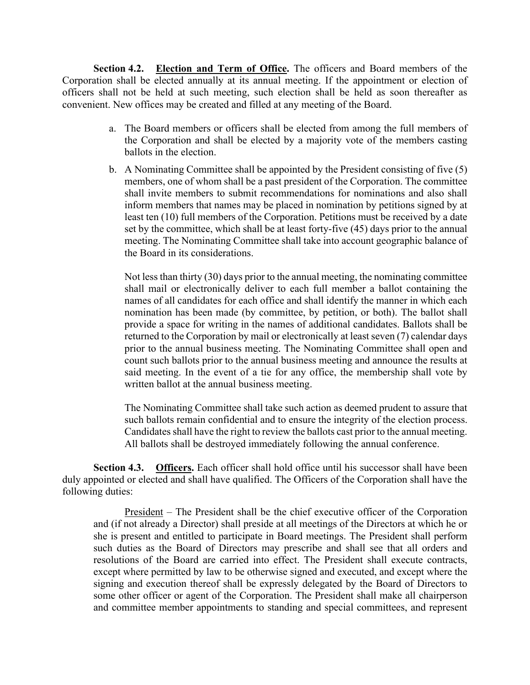**Section 4.2. Election and Term of Office.** The officers and Board members of the Corporation shall be elected annually at its annual meeting. If the appointment or election of officers shall not be held at such meeting, such election shall be held as soon thereafter as convenient. New offices may be created and filled at any meeting of the Board.

- a. The Board members or officers shall be elected from among the full members of the Corporation and shall be elected by a majority vote of the members casting ballots in the election.
- b. A Nominating Committee shall be appointed by the President consisting of five (5) members, one of whom shall be a past president of the Corporation. The committee shall invite members to submit recommendations for nominations and also shall inform members that names may be placed in nomination by petitions signed by at least ten (10) full members of the Corporation. Petitions must be received by a date set by the committee, which shall be at least forty-five (45) days prior to the annual meeting. The Nominating Committee shall take into account geographic balance of the Board in its considerations.

Not less than thirty (30) days prior to the annual meeting, the nominating committee shall mail or electronically deliver to each full member a ballot containing the names of all candidates for each office and shall identify the manner in which each nomination has been made (by committee, by petition, or both). The ballot shall provide a space for writing in the names of additional candidates. Ballots shall be returned to the Corporation by mail or electronically at least seven (7) calendar days prior to the annual business meeting. The Nominating Committee shall open and count such ballots prior to the annual business meeting and announce the results at said meeting. In the event of a tie for any office, the membership shall vote by written ballot at the annual business meeting.

The Nominating Committee shall take such action as deemed prudent to assure that such ballots remain confidential and to ensure the integrity of the election process. Candidates shall have the right to review the ballots cast prior to the annual meeting. All ballots shall be destroyed immediately following the annual conference.

**Section 4.3. Officers.** Each officer shall hold office until his successor shall have been duly appointed or elected and shall have qualified. The Officers of the Corporation shall have the following duties:

President – The President shall be the chief executive officer of the Corporation and (if not already a Director) shall preside at all meetings of the Directors at which he or she is present and entitled to participate in Board meetings. The President shall perform such duties as the Board of Directors may prescribe and shall see that all orders and resolutions of the Board are carried into effect. The President shall execute contracts, except where permitted by law to be otherwise signed and executed, and except where the signing and execution thereof shall be expressly delegated by the Board of Directors to some other officer or agent of the Corporation. The President shall make all chairperson and committee member appointments to standing and special committees, and represent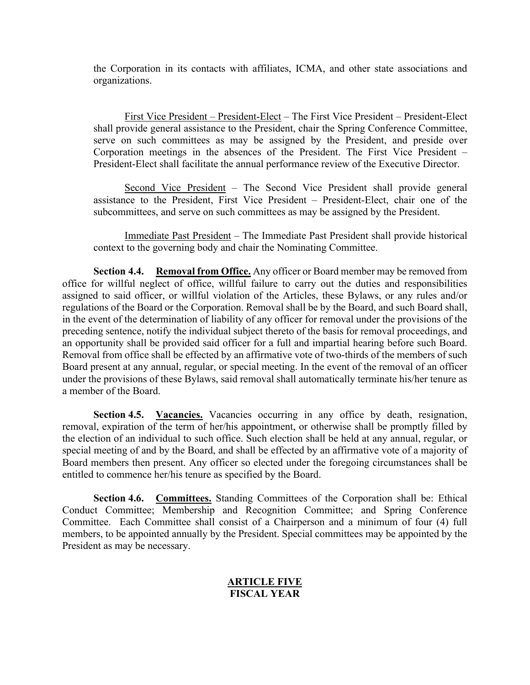the Corporation in its contacts with affiliates, ICMA, and other state associations and organizations.

First Vice President – President-Elect – The First Vice President – President-Elect shall provide general assistance to the President, chair the Spring Conference Committee, serve on such committees as may be assigned by the President, and preside over Corporation meetings in the absences of the President. The First Vice President – President-Elect shall facilitate the annual performance review of the Executive Director.

Second Vice President – The Second Vice President shall provide general assistance to the President, First Vice President – President-Elect, chair one of the subcommittees, and serve on such committees as may be assigned by the President.

Immediate Past President – The Immediate Past President shall provide historical context to the governing body and chair the Nominating Committee.

**Section 4.4. Removal from Office.** Any officer or Board member may be removed from office for willful neglect of office, willful failure to carry out the duties and responsibilities assigned to said officer, or willful violation of the Articles, these Bylaws, or any rules and/or regulations of the Board or the Corporation. Removal shall be by the Board, and such Board shall, in the event of the determination of liability of any officer for removal under the provisions of the preceding sentence, notify the individual subject thereto of the basis for removal proceedings, and an opportunity shall be provided said officer for a full and impartial hearing before such Board. Removal from office shall be effected by an affirmative vote of two-thirds of the members of such Board present at any annual, regular, or special meeting. In the event of the removal of an officer under the provisions of these Bylaws, said removal shall automatically terminate his/her tenure as a member of the Board.

Section 4.5. Vacancies. Vacancies occurring in any office by death, resignation, removal, expiration of the term of her/his appointment, or otherwise shall be promptly filled by the election of an individual to such office. Such election shall be held at any annual, regular, or special meeting of and by the Board, and shall be effected by an affirmative vote of a majority of Board members then present. Any officer so elected under the foregoing circumstances shall be entitled to commence her/his tenure as specified by the Board.

**Section 4.6. Committees.** Standing Committees of the Corporation shall be: Ethical Conduct Committee; Membership and Recognition Committee; and Spring Conference Committee. Each Committee shall consist of a Chairperson and a minimum of four (4) full members, to be appointed annually by the President. Special committees may be appointed by the President as may be necessary.

## **ARTICLE FIVE FISCAL YEAR**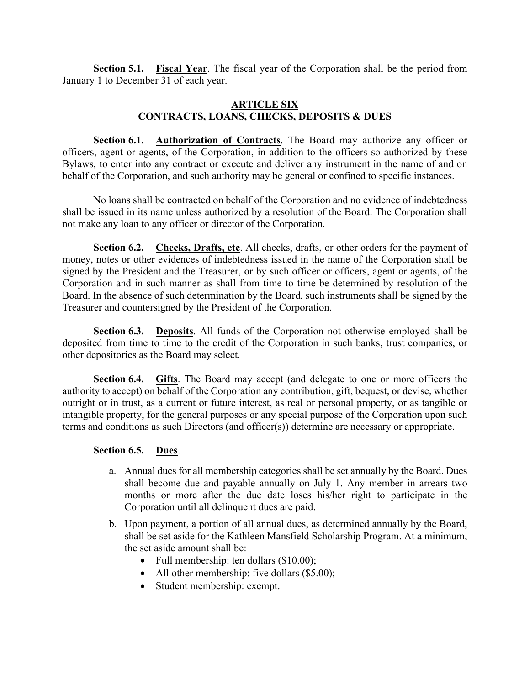**Section 5.1. Fiscal Year**. The fiscal year of the Corporation shall be the period from January 1 to December 31 of each year.

# **ARTICLE SIX CONTRACTS, LOANS, CHECKS, DEPOSITS & DUES**

**Section 6.1. Authorization of Contracts**. The Board may authorize any officer or officers, agent or agents, of the Corporation, in addition to the officers so authorized by these Bylaws, to enter into any contract or execute and deliver any instrument in the name of and on behalf of the Corporation, and such authority may be general or confined to specific instances.

 No loans shall be contracted on behalf of the Corporation and no evidence of indebtedness shall be issued in its name unless authorized by a resolution of the Board. The Corporation shall not make any loan to any officer or director of the Corporation.

**Section 6.2. Checks, Drafts, etc**. All checks, drafts, or other orders for the payment of money, notes or other evidences of indebtedness issued in the name of the Corporation shall be signed by the President and the Treasurer, or by such officer or officers, agent or agents, of the Corporation and in such manner as shall from time to time be determined by resolution of the Board. In the absence of such determination by the Board, such instruments shall be signed by the Treasurer and countersigned by the President of the Corporation.

**Section 6.3. Deposits**. All funds of the Corporation not otherwise employed shall be deposited from time to time to the credit of the Corporation in such banks, trust companies, or other depositories as the Board may select.

**Section 6.4. Gifts**. The Board may accept (and delegate to one or more officers the authority to accept) on behalf of the Corporation any contribution, gift, bequest, or devise, whether outright or in trust, as a current or future interest, as real or personal property, or as tangible or intangible property, for the general purposes or any special purpose of the Corporation upon such terms and conditions as such Directors (and officer(s)) determine are necessary or appropriate.

## **Section 6.5. Dues**.

- a. Annual dues for all membership categories shall be set annually by the Board. Dues shall become due and payable annually on July 1. Any member in arrears two months or more after the due date loses his/her right to participate in the Corporation until all delinquent dues are paid.
- b. Upon payment, a portion of all annual dues, as determined annually by the Board, shall be set aside for the Kathleen Mansfield Scholarship Program. At a minimum, the set aside amount shall be:
	- Full membership: ten dollars (\$10.00);
	- All other membership: five dollars (\$5.00);
	- Student membership: exempt.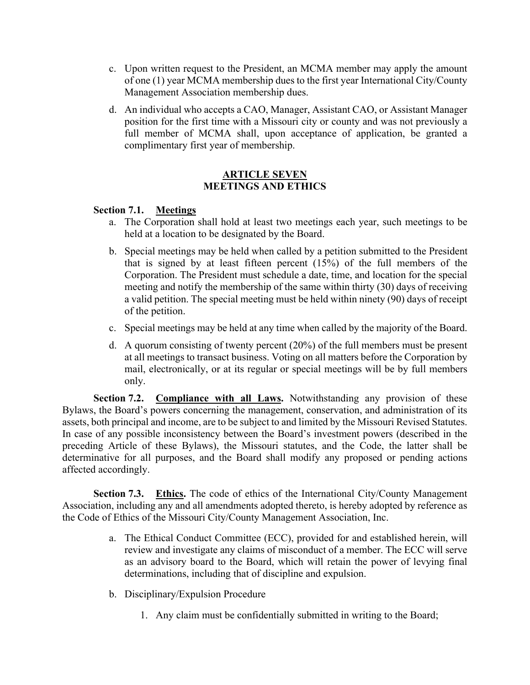- c. Upon written request to the President, an MCMA member may apply the amount of one (1) year MCMA membership dues to the first year International City/County Management Association membership dues.
- d. An individual who accepts a CAO, Manager, Assistant CAO, or Assistant Manager position for the first time with a Missouri city or county and was not previously a full member of MCMA shall, upon acceptance of application, be granted a complimentary first year of membership.

## **ARTICLE SEVEN MEETINGS AND ETHICS**

## **Section 7.1. Meetings**

- a. The Corporation shall hold at least two meetings each year, such meetings to be held at a location to be designated by the Board.
- b. Special meetings may be held when called by a petition submitted to the President that is signed by at least fifteen percent (15%) of the full members of the Corporation. The President must schedule a date, time, and location for the special meeting and notify the membership of the same within thirty (30) days of receiving a valid petition. The special meeting must be held within ninety (90) days of receipt of the petition.
- c. Special meetings may be held at any time when called by the majority of the Board.
- d. A quorum consisting of twenty percent (20%) of the full members must be present at all meetings to transact business. Voting on all matters before the Corporation by mail, electronically, or at its regular or special meetings will be by full members only.

**Section 7.2.** Compliance with all Laws. Notwithstanding any provision of these Bylaws, the Board's powers concerning the management, conservation, and administration of its assets, both principal and income, are to be subject to and limited by the Missouri Revised Statutes. In case of any possible inconsistency between the Board's investment powers (described in the preceding Article of these Bylaws), the Missouri statutes, and the Code, the latter shall be determinative for all purposes, and the Board shall modify any proposed or pending actions affected accordingly.

**Section 7.3.** Ethics. The code of ethics of the International City/County Management Association, including any and all amendments adopted thereto, is hereby adopted by reference as the Code of Ethics of the Missouri City/County Management Association, Inc.

- a. The Ethical Conduct Committee (ECC), provided for and established herein, will review and investigate any claims of misconduct of a member. The ECC will serve as an advisory board to the Board, which will retain the power of levying final determinations, including that of discipline and expulsion.
- b. Disciplinary/Expulsion Procedure
	- 1. Any claim must be confidentially submitted in writing to the Board;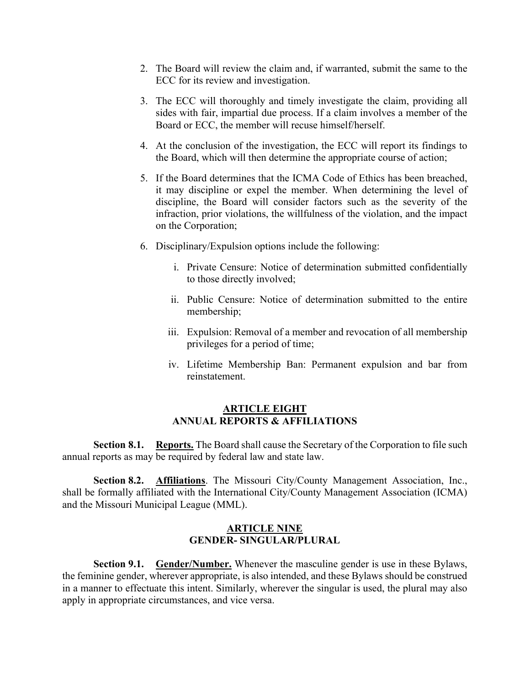- 2. The Board will review the claim and, if warranted, submit the same to the ECC for its review and investigation.
- 3. The ECC will thoroughly and timely investigate the claim, providing all sides with fair, impartial due process. If a claim involves a member of the Board or ECC, the member will recuse himself/herself.
- 4. At the conclusion of the investigation, the ECC will report its findings to the Board, which will then determine the appropriate course of action;
- 5. If the Board determines that the ICMA Code of Ethics has been breached, it may discipline or expel the member. When determining the level of discipline, the Board will consider factors such as the severity of the infraction, prior violations, the willfulness of the violation, and the impact on the Corporation;
- 6. Disciplinary/Expulsion options include the following:
	- i. Private Censure: Notice of determination submitted confidentially to those directly involved;
	- ii. Public Censure: Notice of determination submitted to the entire membership;
	- iii. Expulsion: Removal of a member and revocation of all membership privileges for a period of time;
	- iv. Lifetime Membership Ban: Permanent expulsion and bar from reinstatement.

### **ARTICLE EIGHT ANNUAL REPORTS & AFFILIATIONS**

**Section 8.1. Reports.** The Board shall cause the Secretary of the Corporation to file such annual reports as may be required by federal law and state law.

**Section 8.2. Affiliations**. The Missouri City/County Management Association, Inc., shall be formally affiliated with the International City/County Management Association (ICMA) and the Missouri Municipal League (MML).

## **ARTICLE NINE GENDER- SINGULAR/PLURAL**

**Section 9.1. Gender/Number.** Whenever the masculine gender is use in these Bylaws, the feminine gender, wherever appropriate, is also intended, and these Bylaws should be construed in a manner to effectuate this intent. Similarly, wherever the singular is used, the plural may also apply in appropriate circumstances, and vice versa.